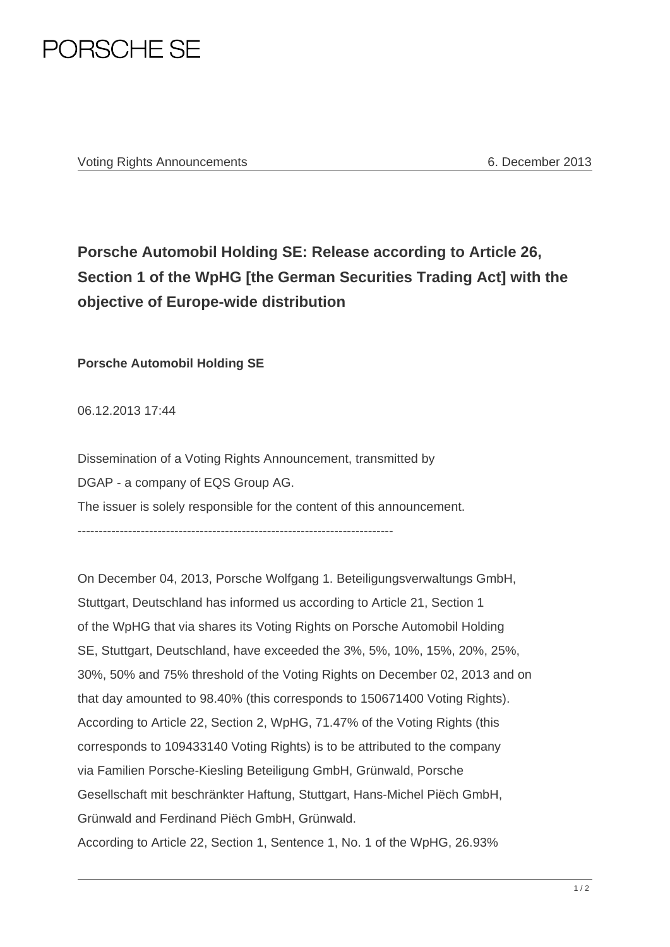

Voting Rights Announcements 6. December 2013

## **Porsche Automobil Holding SE: Release according to Article 26, Section 1 of the WpHG [the German Securities Trading Act] with the objective of Europe-wide distribution**

**Porsche Automobil Holding SE** 

06.12.2013 17:44

Dissemination of a Voting Rights Announcement, transmitted by DGAP - a company of EQS Group AG. The issuer is solely responsible for the content of this announcement.

---------------------------------------------------------------------------

On December 04, 2013, Porsche Wolfgang 1. Beteiligungsverwaltungs GmbH, Stuttgart, Deutschland has informed us according to Article 21, Section 1 of the WpHG that via shares its Voting Rights on Porsche Automobil Holding SE, Stuttgart, Deutschland, have exceeded the 3%, 5%, 10%, 15%, 20%, 25%, 30%, 50% and 75% threshold of the Voting Rights on December 02, 2013 and on that day amounted to 98.40% (this corresponds to 150671400 Voting Rights). According to Article 22, Section 2, WpHG, 71.47% of the Voting Rights (this corresponds to 109433140 Voting Rights) is to be attributed to the company via Familien Porsche-Kiesling Beteiligung GmbH, Grünwald, Porsche Gesellschaft mit beschränkter Haftung, Stuttgart, Hans-Michel Piëch GmbH, Grünwald and Ferdinand Piëch GmbH, Grünwald. According to Article 22, Section 1, Sentence 1, No. 1 of the WpHG, 26.93%